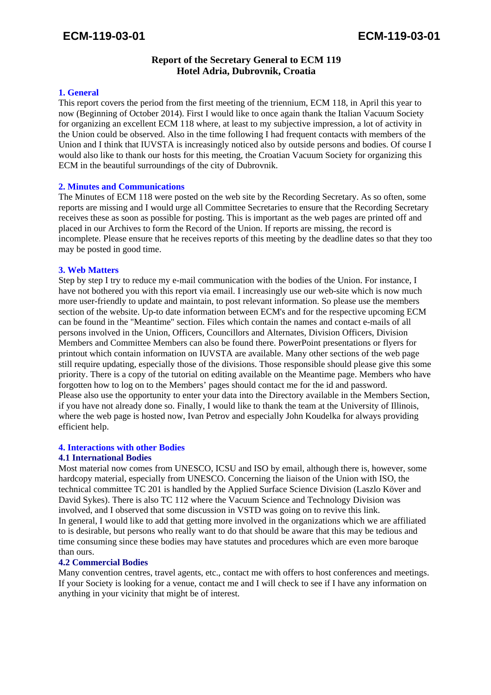# **Report of the Secretary General to ECM 119 Hotel Adria, Dubrovnik, Croatia**

## **1. General**

This report covers the period from the first meeting of the triennium, ECM 118, in April this year to now (Beginning of October 2014). First I would like to once again thank the Italian Vacuum Society for organizing an excellent ECM 118 where, at least to my subjective impression, a lot of activity in the Union could be observed. Also in the time following I had frequent contacts with members of the Union and I think that IUVSTA is increasingly noticed also by outside persons and bodies. Of course I would also like to thank our hosts for this meeting, the Croatian Vacuum Society for organizing this ECM in the beautiful surroundings of the city of Dubrovnik.

## **2. Minutes and Communications**

The Minutes of ECM 118 were posted on the web site by the Recording Secretary. As so often, some reports are missing and I would urge all Committee Secretaries to ensure that the Recording Secretary receives these as soon as possible for posting. This is important as the web pages are printed off and placed in our Archives to form the Record of the Union. If reports are missing, the record is incomplete. Please ensure that he receives reports of this meeting by the deadline dates so that they too may be posted in good time.

## **3. Web Matters**

Step by step I try to reduce my e-mail communication with the bodies of the Union. For instance, I have not bothered you with this report via email. I increasingly use our web-site which is now much more user-friendly to update and maintain, to post relevant information. So please use the members section of the website. Up-to date information between ECM's and for the respective upcoming ECM can be found in the "Meantime" section. Files which contain the names and contact e-mails of all persons involved in the Union, Officers, Councillors and Alternates, Division Officers, Division Members and Committee Members can also be found there. PowerPoint presentations or flyers for printout which contain information on IUVSTA are available. Many other sections of the web page still require updating, especially those of the divisions. Those responsible should please give this some priority. There is a copy of the tutorial on editing available on the Meantime page. Members who have forgotten how to log on to the Members' pages should contact me for the id and password. Please also use the opportunity to enter your data into the Directory available in the Members Section, if you have not already done so. Finally, I would like to thank the team at the University of Illinois, where the web page is hosted now, Ivan Petrov and especially John Koudelka for always providing efficient help.

#### **4. Interactions with other Bodies**

#### **4.1 International Bodies**

Most material now comes from UNESCO, ICSU and ISO by email, although there is, however, some hardcopy material, especially from UNESCO. Concerning the liaison of the Union with ISO, the technical committee TC 201 is handled by the Applied Surface Science Division (Laszlo Köver and David Sykes). There is also TC 112 where the Vacuum Science and Technology Division was involved, and I observed that some discussion in VSTD was going on to revive this link. In general, I would like to add that getting more involved in the organizations which we are affiliated to is desirable, but persons who really want to do that should be aware that this may be tedious and time consuming since these bodies may have statutes and procedures which are even more baroque than ours.

#### **4.2 Commercial Bodies**

Many convention centres, travel agents, etc., contact me with offers to host conferences and meetings. If your Society is looking for a venue, contact me and I will check to see if I have any information on anything in your vicinity that might be of interest.